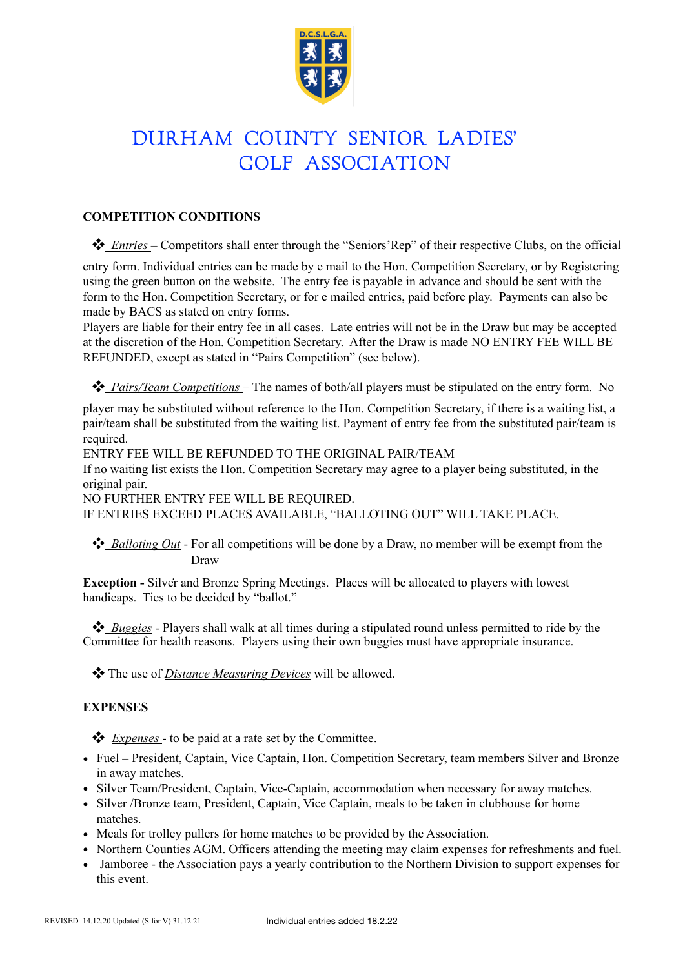

# DURHAM COUNTY SENIOR LADIES' GOLF ASSOCIATION

# **COMPETITION CONDITIONS**

❖ *Entries* – Competitors shall enter through the "Seniors'Rep" of their respective Clubs, on the official

entry form. Individual entries can be made by e mail to the Hon. Competition Secretary, or by Registering using the green button on the website. The entry fee is payable in advance and should be sent with the form to the Hon. Competition Secretary, or for e mailed entries, paid before play. Payments can also be made by BACS as stated on entry forms.

Players are liable for their entry fee in all cases. Late entries will not be in the Draw but may be accepted at the discretion of the Hon. Competition Secretary. After the Draw is made NO ENTRY FEE WILL BE REFUNDED, except as stated in "Pairs Competition" (see below).

❖ *Pairs/Team Competitions* – The names of both/all players must be stipulated on the entry form. No

player may be substituted without reference to the Hon. Competition Secretary, if there is a waiting list, a pair/team shall be substituted from the waiting list. Payment of entry fee from the substituted pair/team is required.

ENTRY FEE WILL BE REFUNDED TO THE ORIGINAL PAIR/TEAM

If no waiting list exists the Hon. Competition Secretary may agree to a player being substituted, in the original pair.

NO FURTHER ENTRY FEE WILL BE REQUIRED.

IF ENTRIES EXCEED PLACES AVAILABLE, "BALLOTING OUT" WILL TAKE PLACE.

 ❖ *Balloting Out* - For all competitions will be done by a Draw, no member will be exempt from the Draw

 . **Exception -** Silver and Bronze Spring Meetings. Places will be allocated to players with lowest handicaps. Ties to be decided by "ballot."

 ❖ *Buggies* - Players shall walk at all times during a stipulated round unless permitted to ride by the Committee for health reasons. Players using their own buggies must have appropriate insurance.

❖ The use of *Distance Measuring Devices* will be allowed.

# **EXPENSES**

❖ *Expenses* - to be paid at a rate set by the Committee.

- Fuel President, Captain, Vice Captain, Hon. Competition Secretary, team members Silver and Bronze in away matches.
- Silver Team/President, Captain, Vice-Captain, accommodation when necessary for away matches.
- Silver /Bronze team, President, Captain, Vice Captain, meals to be taken in clubhouse for home matches.
- Meals for trolley pullers for home matches to be provided by the Association.
- Northern Counties AGM. Officers attending the meeting may claim expenses for refreshments and fuel.
- Jamboree the Association pays a yearly contribution to the Northern Division to support expenses for this event.